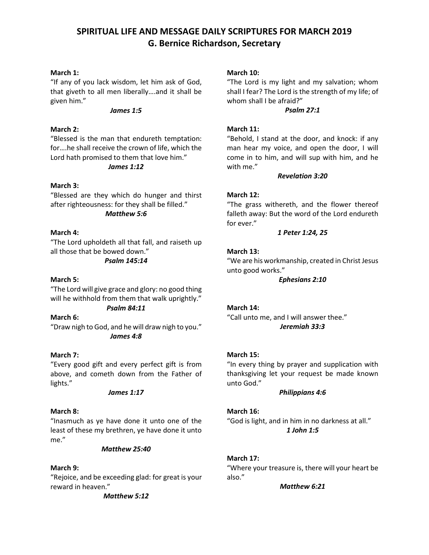# **SPIRITUAL LIFE AND MESSAGE DAILY SCRIPTURES FOR MARCH 2019 G. Bernice Richardson, Secretary**

## **March 1:**

"If any of you lack wisdom, let him ask of God, that giveth to all men liberally….and it shall be given him."

#### *James 1:5*

## **March 2:**

"Blessed is the man that endureth temptation: for….he shall receive the crown of life, which the Lord hath promised to them that love him."

#### *James 1:12*

## **March 3:**

"Blessed are they which do hunger and thirst after righteousness: for they shall be filled."

#### *Matthew 5:6*

## **March 4:**

"The Lord upholdeth all that fall, and raiseth up all those that be bowed down."

### *Psalm 145:14*

## **March 5:**

"The Lord will give grace and glory: no good thing will he withhold from them that walk uprightly." *Psalm 84:11*

**March 6:** "Draw nigh to God, and he will draw nigh to you." *James 4:8*

### **March 7:**

"Every good gift and every perfect gift is from above, and cometh down from the Father of lights."

### *James 1:17*

### **March 8:**

"Inasmuch as ye have done it unto one of the least of these my brethren, ye have done it unto me."

### *Matthew 25:40*

## **March 9:**

"Rejoice, and be exceeding glad: for great is your reward in heaven."

*Matthew 5:12*

## **March 10:**

"The Lord is my light and my salvation; whom shall I fear? The Lord is the strength of my life; of whom shall I be afraid?"

### *Psalm 27:1*

## **March 11:**

"Behold, I stand at the door, and knock: if any man hear my voice, and open the door, I will come in to him, and will sup with him, and he with me."

### *Revelation 3:20*

## **March 12:**

"The grass withereth, and the flower thereof falleth away: But the word of the Lord endureth for ever."

## *1 Peter 1:24, 25*

## **March 13:**

"We are his workmanship, created in Christ Jesus unto good works."

*Ephesians 2:10*

### **March 14:**

"Call unto me, and I will answer thee." *Jeremiah 33:3*

### **March 15:**

"In every thing by prayer and supplication with thanksgiving let your request be made known unto God."

### *Philippians 4:6*

### **March 16:**

"God is light, and in him in no darkness at all." *1 John 1:5*

### **March 17:**

"Where your treasure is, there will your heart be also."

*Matthew 6:21*